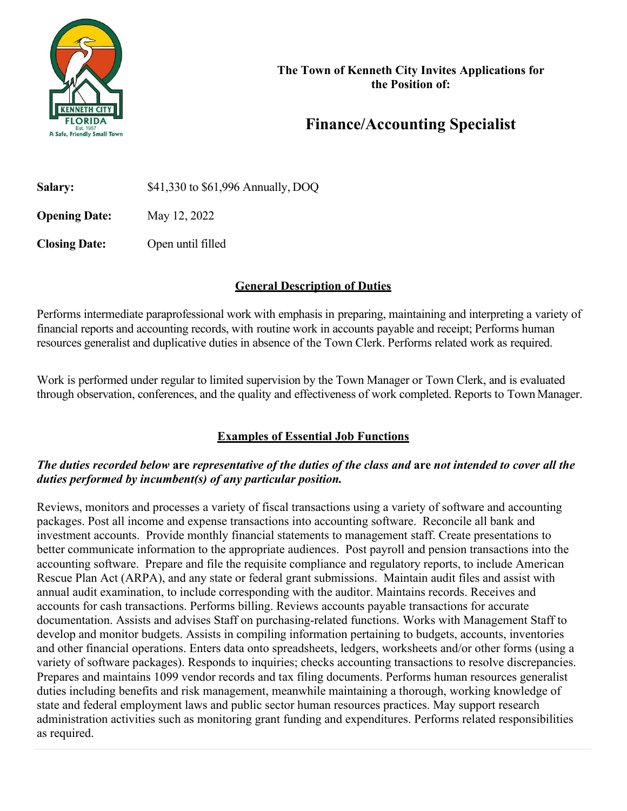

# **Finance/Accounting Specialist**

**Salary:** \$41,330 to \$61,996 Annually, DOQ **Opening Date:** May 12, 2022

**Closing Date:** Open until filled

## **General Description of Duties**

Performs intermediate paraprofessional work with emphasis in preparing, maintaining and interpreting a variety of financial reports and accounting records, with routine work in accounts payable and receipt; Performs human resources generalist and duplicative duties in absence of the Town Clerk. Performs related work as required.

Work is performed under regular to limited supervision by the Town Manager or Town Clerk, and is evaluated through observation, conferences, and the quality and effectiveness of work completed. Reports to Town Manager.

# **Examples of Essential Job Functions**

### *The duties recorded below* **are** *representative of the duties of the class and* **are** *not intended to cover all the duties performed by incumbent(s) of any particular position.*

Reviews, monitors and processes a variety of fiscal transactions using a variety of software and accounting packages. Post all income and expense transactions into accounting software. Reconcile all bank and investment accounts. Provide monthly financial statements to management staff. Create presentations to better communicate information to the appropriate audiences. Post payroll and pension transactions into the accounting software. Prepare and file the requisite compliance and regulatory reports, to include American Rescue Plan Act (ARPA), and any state or federal grant submissions. Maintain audit files and assist with annual audit examination, to include corresponding with the auditor. Maintains records. Receives and accounts for cash transactions. Performs billing. Reviews accounts payable transactions for accurate documentation. Assists and advises Staff on purchasing-related functions. Works with Management Staff to develop and monitor budgets. Assists in compiling information pertaining to budgets, accounts, inventories and other financial operations. Enters data onto spreadsheets, ledgers, worksheets and/or other forms (using a variety of software packages). Responds to inquiries; checks accounting transactions to resolve discrepancies. Prepares and maintains 1099 vendor records and tax filing documents. Performs human resources generalist duties including benefits and risk management, meanwhile maintaining a thorough, working knowledge of state and federal employment laws and public sector human resources practices. May support research administration activities such as monitoring grant funding and expenditures. Performs related responsibilities as required.